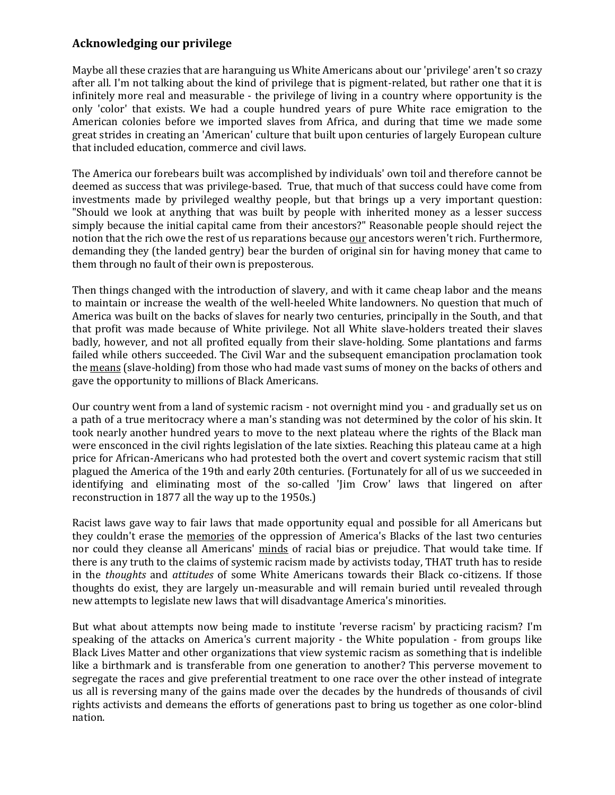## **Acknowledging our privilege**

Maybe all these crazies that are haranguing us White Americans about our 'privilege' aren't so crazy after all. I'm not talking about the kind of privilege that is pigment-related, but rather one that it is infinitely more real and measurable - the privilege of living in a country where opportunity is the only 'color' that exists. We had a couple hundred years of pure White race emigration to the American colonies before we imported slaves from Africa, and during that time we made some great strides in creating an 'American' culture that built upon centuries of largely European culture that included education, commerce and civil laws.

The America our forebears built was accomplished by individuals' own toil and therefore cannot be deemed as success that was privilege-based. True, that much of that success could have come from investments made by privileged wealthy people, but that brings up a very important question: "Should we look at anything that was built by people with inherited money as a lesser success simply because the initial capital came from their ancestors?" Reasonable people should reject the notion that the rich owe the rest of us reparations because our ancestors weren't rich. Furthermore, demanding they (the landed gentry) bear the burden of original sin for having money that came to them through no fault of their own is preposterous.

Then things changed with the introduction of slavery, and with it came cheap labor and the means to maintain or increase the wealth of the well-heeled White landowners. No question that much of America was built on the backs of slaves for nearly two centuries, principally in the South, and that that profit was made because of White privilege. Not all White slave-holders treated their slaves badly, however, and not all profited equally from their slave-holding. Some plantations and farms failed while others succeeded. The Civil War and the subsequent emancipation proclamation took the means (slave-holding) from those who had made vast sums of money on the backs of others and gave the opportunity to millions of Black Americans.

Our country went from a land of systemic racism - not overnight mind you - and gradually set us on a path of a true meritocracy where a man's standing was not determined by the color of his skin. It took nearly another hundred years to move to the next plateau where the rights of the Black man were ensconced in the civil rights legislation of the late sixties. Reaching this plateau came at a high price for African-Americans who had protested both the overt and covert systemic racism that still plagued the America of the 19th and early 20th centuries. (Fortunately for all of us we succeeded in identifying and eliminating most of the so-called 'Jim Crow' laws that lingered on after reconstruction in 1877 all the way up to the 1950s.)

Racist laws gave way to fair laws that made opportunity equal and possible for all Americans but they couldn't erase the memories of the oppression of America's Blacks of the last two centuries nor could they cleanse all Americans' minds of racial bias or prejudice. That would take time. If there is any truth to the claims of systemic racism made by activists today, THAT truth has to reside in the *thoughts* and *attitudes* of some White Americans towards their Black co-citizens. If those thoughts do exist, they are largely un-measurable and will remain buried until revealed through new attempts to legislate new laws that will disadvantage America's minorities.

But what about attempts now being made to institute 'reverse racism' by practicing racism? I'm speaking of the attacks on America's current majority - the White population - from groups like Black Lives Matter and other organizations that view systemic racism as something that is indelible like a birthmark and is transferable from one generation to another? This perverse movement to segregate the races and give preferential treatment to one race over the other instead of integrate us all is reversing many of the gains made over the decades by the hundreds of thousands of civil rights activists and demeans the efforts of generations past to bring us together as one color-blind nation.